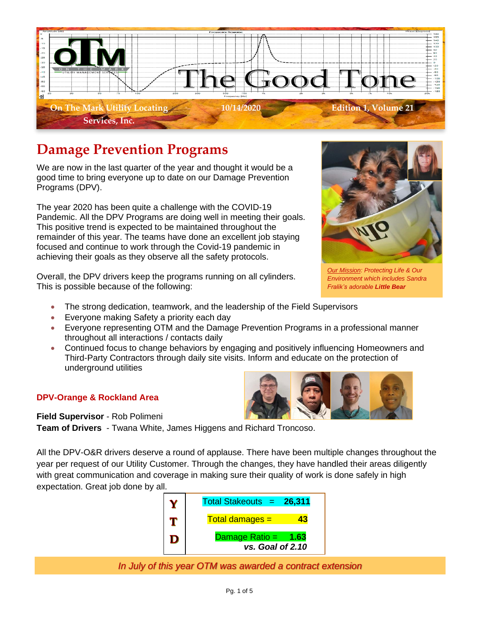

## **Damage Prevention Programs**

We are now in the last quarter of the year and thought it would be a good time to bring everyone up to date on our Damage Prevention Programs (DPV).

The year 2020 has been quite a challenge with the COVID-19 Pandemic. All the DPV Programs are doing well in meeting their goals. This positive trend is expected to be maintained throughout the remainder of this year. The teams have done an excellent job staying focused and continue to work through the Covid-19 pandemic in achieving their goals as they observe all the safety protocols.

Overall, the DPV drivers keep the programs running on all cylinders. This is possible because of the following:

- The strong dedication, teamwork, and the leadership of the Field Supervisors
- Everyone making Safety a priority each day
- Everyone representing OTM and the Damage Prevention Programs in a professional manner throughout all interactions / contacts daily
- Continued focus to change behaviors by engaging and positively influencing Homeowners and Third-Party Contractors through daily site visits. Inform and educate on the protection of underground utilities

## **DPV-Orange & Rockland Area**

**Field Supervisor** - Rob Polimeni

**Team of Drivers** - Twana White, James Higgens and Richard Troncoso.

All the DPV-O&R drivers deserve a round of applause. There have been multiple changes throughout the year per request of our Utility Customer. Through the changes, they have handled their areas diligently with great communication and coverage in making sure their quality of work is done safely in high expectation. Great job done by all.



*In July of this year OTM was awarded a contract extension*



*Our Mission: Protecting Life & Our Environment which includes Sandra Fralik's adorable Little Bear*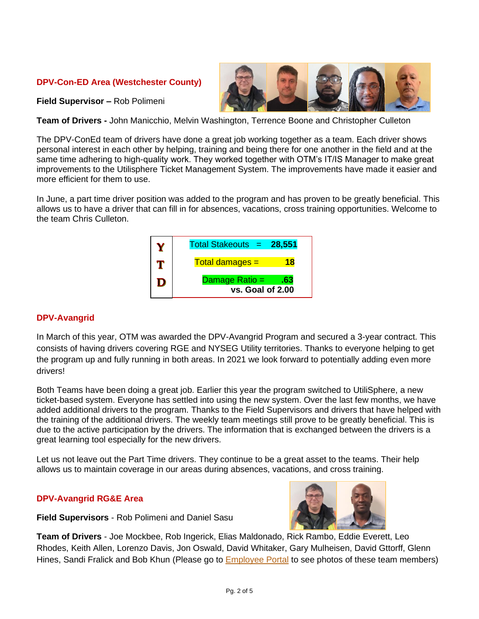## **DPV-Con-ED Area (Westchester County)**

**Field Supervisor –** Rob Polimeni

**Team of Drivers -** John Manicchio, Melvin Washington, Terrence Boone and Christopher Culleton

The DPV-ConEd team of drivers have done a great job working together as a team. Each driver shows personal interest in each other by helping, training and being there for one another in the field and at the same time adhering to high-quality work. They worked together with OTM's IT/IS Manager to make great improvements to the Utilisphere Ticket Management System. The improvements have made it easier and more efficient for them to use.

In June, a part time driver position was added to the program and has proven to be greatly beneficial. This allows us to have a driver that can fill in for absences, vacations, cross training opportunities. Welcome to the team Chris Culleton.



## **DPV-Avangrid**

In March of this year, OTM was awarded the DPV-Avangrid Program and secured a 3-year contract. This consists of having drivers covering RGE and NYSEG Utility territories. Thanks to everyone helping to get the program up and fully running in both areas. In 2021 we look forward to potentially adding even more drivers!

Both Teams have been doing a great job. Earlier this year the program switched to UtiliSphere, a new ticket-based system. Everyone has settled into using the new system. Over the last few months, we have added additional drivers to the program. Thanks to the Field Supervisors and drivers that have helped with the training of the additional drivers. The weekly team meetings still prove to be greatly beneficial. This is due to the active participation by the drivers. The information that is exchanged between the drivers is a great learning tool especially for the new drivers.

Let us not leave out the Part Time drivers. They continue to be a great asset to the teams. Their help allows us to maintain coverage in our areas during absences, vacations, and cross training.

#### **DPV-Avangrid RG&E Area**

**Field Supervisors** - Rob Polimeni and Daniel Sasu



**Team of Drivers** - Joe Mockbee, Rob Ingerick, Elias Maldonado, Rick Rambo, Eddie Everett, Leo Rhodes, Keith Allen, Lorenzo Davis, Jon Oswald, David Whitaker, Gary Mulheisen, David Gttorff, Glenn Hines, Sandi Fralick and Bob Khun (Please go to [Employee Portal](https://www.otmlocating.com/directory) to see photos of these team members)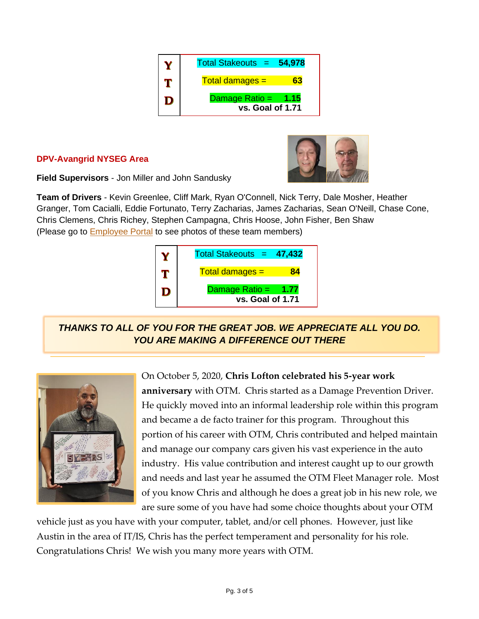| Total Stakeouts =<br>54,978               |
|-------------------------------------------|
| $Total damages =$                         |
| Damage Ratio = $1.15$<br>vs. Goal of 1.71 |

## **DPV-Avangrid NYSEG Area**



**Field Supervisors** - Jon Miller and John Sandusky

**Team of Drivers** - Kevin Greenlee, Cliff Mark, Ryan O'Connell, Nick Terry, Dale Mosher, Heather Granger, Tom Cacialli, Eddie Fortunato, Terry Zacharias, James Zacharias, Sean O'Neill, Chase Cone, Chris Clemens, Chris Richey, Stephen Campagna, Chris Hoose, John Fisher, Ben Shaw (Please go to **Employee Portal** to see photos of these team members)



*THANKS TO ALL OF YOU FOR THE GREAT JOB. WE APPRECIATE ALL YOU DO. YOU ARE MAKING A DIFFERENCE OUT THERE*



On October 5, 2020, **Chris Lofton celebrated his 5-year work** 

**anniversary** with OTM. Chris started as a Damage Prevention Driver. He quickly moved into an informal leadership role within this program and became a de facto trainer for this program. Throughout this portion of his career with OTM, Chris contributed and helped maintain and manage our company cars given his vast experience in the auto industry. His value contribution and interest caught up to our growth and needs and last year he assumed the OTM Fleet Manager role. Most of you know Chris and although he does a great job in his new role, we are sure some of you have had some choice thoughts about your OTM

vehicle just as you have with your computer, tablet, and/or cell phones. However, just like Austin in the area of IT/IS, Chris has the perfect temperament and personality for his role. Congratulations Chris! We wish you many more years with OTM.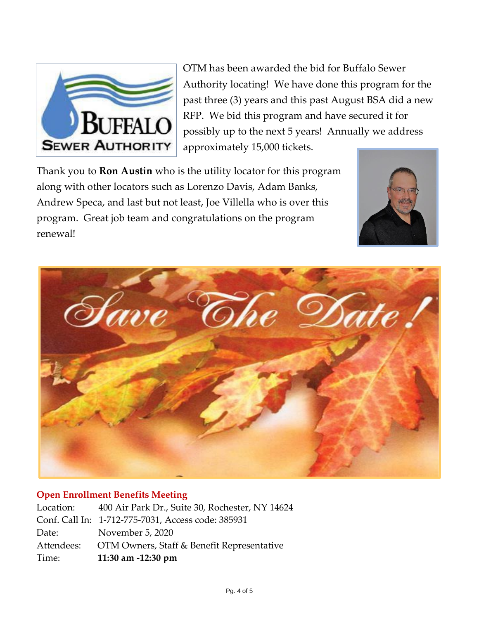

OTM has been awarded the bid for Buffalo Sewer Authority locating! We have done this program for the past three (3) years and this past August BSA did a new RFP. We bid this program and have secured it for possibly up to the next 5 years! Annually we address approximately 15,000 tickets.

Thank you to **Ron Austin** who is the utility locator for this program along with other locators such as Lorenzo Davis, Adam Banks, Andrew Speca, and last but not least, Joe Villella who is over this program. Great job team and congratulations on the program renewal!





## **Open Enrollment Benefits Meeting**

| Time:      | 11:30 am -12:30 pm                                 |
|------------|----------------------------------------------------|
| Attendees: | OTM Owners, Staff & Benefit Representative         |
| Date:      | November 5, 2020                                   |
|            | Conf. Call In: 1-712-775-7031, Access code: 385931 |
| Location:  | 400 Air Park Dr., Suite 30, Rochester, NY 14624    |